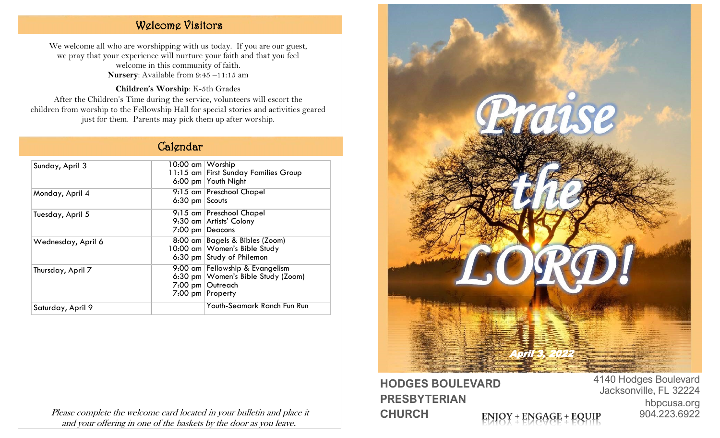## Welcome Visitors

We welcome all who are worshipping with us today. If you are our guest, we pray that your experience will nurture your faith and that you feel welcome in this community of faith. **Nursery**: Available from 9:45 –11:15 am

**Children's Worship**: K-5th Grades After the Children's Time during the service, volunteers will escort the children from worship to the Fellowship Hall for special stories and activities geared just for them. Parents may pick them up after worship.

## Calendar

| Sunday, April 3    | 10:00 am   Worship |                                        |
|--------------------|--------------------|----------------------------------------|
|                    |                    | 11:15 am   First Sunday Families Group |
|                    |                    | 6:00 pm Youth Night                    |
| Monday, April 4    |                    | 9:15 am Preschool Chapel               |
|                    | $6:30$ pm Scouts   |                                        |
| Tuesday, April 5   |                    | 9:15 am Preschool Chapel               |
|                    |                    | 9:30 am   Artists' Colony              |
|                    |                    | $7:00$ pm Deacons                      |
| Wednesday, April 6 |                    | 8:00 am   Bagels & Bibles (Zoom)       |
|                    |                    | 10:00 am   Women's Bible Study         |
|                    |                    | 6:30 pm Study of Philemon              |
| Thursday, April 7  |                    | 9:00 am Fellowship & Evangelism        |
|                    |                    | 6:30 pm   Women's Bible Study (Zoom)   |
|                    |                    | 7:00 pm Outreach                       |
|                    |                    | 7:00 pm   Property                     |
| Saturday, April 9  |                    | Youth-Seamark Ranch Fun Run            |
|                    |                    |                                        |

Please complete the welcome card located in your bulletin and place it and your offering in one of the baskets by the door as you leave.



**HODGES BOULEVARD PRESBYTERIAN CHURCH ENIOY + ENGAGE + EQUIP** 

4140 Hodges Boulevard Jacksonville, FL 32224 hbpcusa.org 904.223.6922